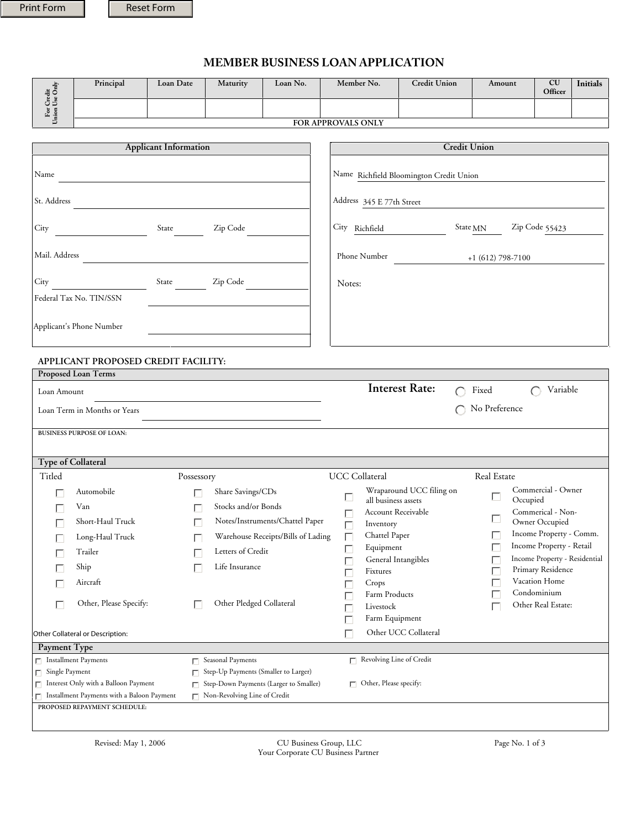### **MEMBER BUSINESS LOAN APPLICATION**

| ≞<br>唱く<br>- 62 | Principal                 | Loan Date | Maturity | Loan No. | Member No. | <b>Credit Union</b> | Amount | <b>CU</b><br>Officer | <b>Initials</b> |
|-----------------|---------------------------|-----------|----------|----------|------------|---------------------|--------|----------------------|-----------------|
| ಲ ಪ<br>오후       |                           |           |          |          |            |                     |        |                      |                 |
|                 | <b>FOR APPROVALS ONLY</b> |           |          |          |            |                     |        |                      |                 |

|                              | Principal                                                                                  | Loan Date                                                                                 | <b>Maturity</b>                      | Loan No.                           | Member No.                              |                                           | <b>Credit Union</b>      | Amount              | <b>CU</b><br>Officer                | <b>Initials</b> |
|------------------------------|--------------------------------------------------------------------------------------------|-------------------------------------------------------------------------------------------|--------------------------------------|------------------------------------|-----------------------------------------|-------------------------------------------|--------------------------|---------------------|-------------------------------------|-----------------|
| For Credit<br>Union Use Only |                                                                                            |                                                                                           |                                      |                                    |                                         |                                           |                          |                     |                                     |                 |
|                              |                                                                                            |                                                                                           |                                      |                                    | FOR APPROVALS ONLY                      |                                           |                          |                     |                                     |                 |
|                              |                                                                                            |                                                                                           |                                      |                                    |                                         |                                           |                          |                     |                                     |                 |
|                              |                                                                                            | <b>Applicant Information</b>                                                              |                                      |                                    |                                         |                                           | <b>Credit Union</b>      |                     |                                     |                 |
| Name                         |                                                                                            |                                                                                           |                                      |                                    | Name Richfield Bloomington Credit Union |                                           |                          |                     |                                     |                 |
| St. Address                  |                                                                                            |                                                                                           |                                      |                                    |                                         | Address 345 E 77th Street                 |                          |                     |                                     |                 |
| City                         |                                                                                            | State                                                                                     | Zip Code                             |                                    | City Richfield                          |                                           |                          | State <sub>MN</sub> | Zip Code 55423                      |                 |
| Mail. Address                |                                                                                            | the control of the control of the control of the control of the control of the control of |                                      |                                    |                                         | Phone Number                              |                          | $+1$ (612) 798-7100 |                                     |                 |
| City                         | Federal Tax No. TIN/SSN                                                                    | State                                                                                     | Zip Code                             |                                    | Notes:                                  |                                           |                          |                     |                                     |                 |
|                              | Applicant's Phone Number                                                                   |                                                                                           |                                      |                                    |                                         |                                           |                          |                     |                                     |                 |
|                              | APPLICANT PROPOSED CREDIT FACILITY:<br>Proposed Loan Terms                                 |                                                                                           |                                      |                                    |                                         |                                           |                          |                     |                                     |                 |
| Loan Amount                  |                                                                                            |                                                                                           |                                      |                                    |                                         | <b>Interest Rate:</b>                     | $\bigcap$                | Fixed               | Variable<br>$\cap$                  |                 |
|                              |                                                                                            |                                                                                           |                                      |                                    |                                         |                                           |                          |                     |                                     |                 |
|                              | Loan Term in Months or Years                                                               |                                                                                           |                                      |                                    |                                         |                                           |                          | No Preference       |                                     |                 |
|                              | <b>BUSINESS PURPOSE OF LOAN:</b>                                                           |                                                                                           |                                      |                                    |                                         |                                           |                          |                     |                                     |                 |
|                              |                                                                                            |                                                                                           |                                      |                                    |                                         |                                           |                          |                     |                                     |                 |
|                              | <b>Type of Collateral</b>                                                                  |                                                                                           |                                      |                                    |                                         |                                           |                          |                     |                                     |                 |
| Titled                       |                                                                                            | Possessory                                                                                |                                      |                                    | UCC Collateral                          |                                           |                          | Real Estate         |                                     |                 |
|                              | Automobile                                                                                 |                                                                                           | Share Savings/CDs                    |                                    |                                         |                                           | Wraparound UCC filing on |                     | Commercial - Owner                  |                 |
| Г                            | Van                                                                                        | П                                                                                         | Stocks and/or Bonds                  |                                    |                                         | all business assets<br>Account Receivable |                          | Ш<br>Occupied       |                                     |                 |
|                              | Short-Haul Truck                                                                           | П                                                                                         |                                      | Notes/Instruments/Chattel Paper    | П                                       | Inventory                                 |                          | Ш                   | Commerical - Non-<br>Owner Occupied |                 |
| г                            | Long-Haul Truck                                                                            | П                                                                                         |                                      | Warehouse Receipts/Bills of Lading | П                                       | Chattel Paper                             |                          |                     | Income Property - Comm.             |                 |
|                              | Trailer                                                                                    |                                                                                           | $\Box$ Letters of Credit             |                                    |                                         | Equipment                                 |                          | г                   | Income Property - Retail            |                 |
|                              | Ship                                                                                       |                                                                                           | Life Insurance                       |                                    |                                         | General Intangibles                       |                          |                     | Income Property - Residential       |                 |
|                              |                                                                                            |                                                                                           |                                      |                                    |                                         | Fixtures                                  |                          |                     | Primary Residence<br>Vacation Home  |                 |
|                              | Aircraft                                                                                   |                                                                                           |                                      |                                    |                                         | Crops<br>Farm Products                    |                          |                     | Condominium                         |                 |
| $\Box$                       | Other, Please Specify:                                                                     |                                                                                           | Other Pledged Collateral             |                                    | г                                       | Livestock<br>Farm Equipment               |                          |                     | Other Real Estate:                  |                 |
|                              | Other Collateral or Description:                                                           |                                                                                           |                                      |                                    | г                                       |                                           | Other UCC Collateral     |                     |                                     |                 |
| Payment Type                 |                                                                                            |                                                                                           |                                      |                                    |                                         |                                           |                          |                     |                                     |                 |
|                              | $\Box$ Installment Payments                                                                | п.                                                                                        | Seasonal Payments                    |                                    |                                         | $\Box$ Revolving Line of Credit           |                          |                     |                                     |                 |
| Single Payment<br>П.         |                                                                                            | п                                                                                         | Step-Up Payments (Smaller to Larger) |                                    |                                         |                                           |                          |                     |                                     |                 |
|                              | Step-Down Payments (Larger to Smaller)<br>$\Box$ Interest Only with a Balloon Payment<br>П |                                                                                           |                                      | $\Box$ Other, Please specify:      |                                         |                                           |                          |                     |                                     |                 |
|                              | $\Box$ Installment Payments with a Baloon Payment                                          |                                                                                           | $\Box$ Non-Revolving Line of Credit  |                                    |                                         |                                           |                          |                     |                                     |                 |
|                              | PROPOSED REPAYMENT SCHEDULE:                                                               |                                                                                           |                                      |                                    |                                         |                                           |                          |                     |                                     |                 |

Revised: May 1, 2006 CU Business Group, LLC Page No. 1 of 3 Your Corporate CU Business Partner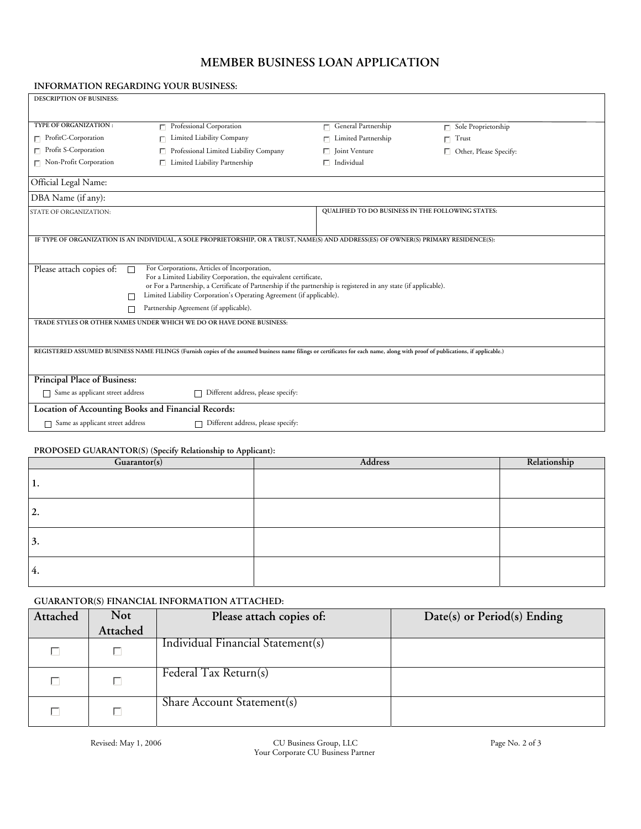# **MEMBER BUSINESS LOAN APPLICATION**

#### **INFORMATION REGARDING YOUR BUSINESS:**

| <b>DESCRIPTION OF BUSINESS:</b>                                      |                                                                                                                                                                                       |                                                   |                               |  |  |
|----------------------------------------------------------------------|---------------------------------------------------------------------------------------------------------------------------------------------------------------------------------------|---------------------------------------------------|-------------------------------|--|--|
|                                                                      |                                                                                                                                                                                       |                                                   |                               |  |  |
| <b>TYPE OF ORGANIZATION:</b>                                         | $\Box$ Professional Corporation                                                                                                                                                       | $\Box$ General Partnership                        | $\Box$ Sole Proprietorship    |  |  |
| $\Box$ ProfitC-Corporation                                           | Limited Liability Company                                                                                                                                                             | $\Box$ Limited Partnership                        | $\Box$ Trust                  |  |  |
| $\Box$ Profit S-Corporation                                          | Professional Limited Liability Company                                                                                                                                                | $\Box$ Joint Venture                              | $\Box$ Other, Please Specify: |  |  |
| $\Box$ Non-Profit Corporation                                        | $\Box$ Limited Liability Partnership                                                                                                                                                  | $\Box$ Individual                                 |                               |  |  |
| Official Legal Name:                                                 |                                                                                                                                                                                       |                                                   |                               |  |  |
| DBA Name (if any):                                                   |                                                                                                                                                                                       |                                                   |                               |  |  |
| STATE OF ORGANIZATION:                                               |                                                                                                                                                                                       | QUALIFIED TO DO BUSINESS IN THE FOLLOWING STATES: |                               |  |  |
|                                                                      |                                                                                                                                                                                       |                                                   |                               |  |  |
|                                                                      | IF TYPE OF ORGANIZATION IS AN INDIVIDUAL, A SOLE PROPRIETORSHIP, OR A TRUST, NAME(S) AND ADDRESS(ES) OF OWNER(S) PRIMARY RESIDENCE(S):                                                |                                                   |                               |  |  |
|                                                                      |                                                                                                                                                                                       |                                                   |                               |  |  |
| Please attach copies of:                                             | For Corporations, Articles of Incorporation,                                                                                                                                          |                                                   |                               |  |  |
|                                                                      | For a Limited Liability Corporation, the equivalent certificate,<br>or For a Partnership, a Certificate of Partnership if the partnership is registered in any state (if applicable). |                                                   |                               |  |  |
| Limited Liability Corporation's Operating Agreement (if applicable). |                                                                                                                                                                                       |                                                   |                               |  |  |
| П                                                                    | Partnership Agreement (if applicable).                                                                                                                                                |                                                   |                               |  |  |
| TRADE STYLES OR OTHER NAMES UNDER WHICH WE DO OR HAVE DONE BUSINESS: |                                                                                                                                                                                       |                                                   |                               |  |  |
|                                                                      |                                                                                                                                                                                       |                                                   |                               |  |  |
|                                                                      | REGISTERED ASSUMED BUSINESS NAME FILINGS (Furnish copies of the assumed business name filings or certificates for each name, along with proof of publications, if applicable.)        |                                                   |                               |  |  |
|                                                                      |                                                                                                                                                                                       |                                                   |                               |  |  |
| <b>Principal Place of Business:</b>                                  |                                                                                                                                                                                       |                                                   |                               |  |  |
| Same as applicant street address<br>П                                | Different address, please specify:                                                                                                                                                    |                                                   |                               |  |  |
| Location of Accounting Books and Financial Records:                  |                                                                                                                                                                                       |                                                   |                               |  |  |
| Same as applicant street address                                     | Different address, please specify:                                                                                                                                                    |                                                   |                               |  |  |

#### **PROPOSED GUARANTOR(S) (Specify Relationship to Applicant):**

| Guarantor(s) | Address | Relationship |
|--------------|---------|--------------|
| 1.           |         |              |
| 2.           |         |              |
| $\vert 3.$   |         |              |
| 4.           |         |              |

### **GUARANTOR(S) FINANCIAL INFORMATION ATTACHED:**

| Attached | <b>Not</b> | Please attach copies of:          | Date(s) or $Period(s)$ Ending |
|----------|------------|-----------------------------------|-------------------------------|
|          | Attached   |                                   |                               |
|          |            | Individual Financial Statement(s) |                               |
|          |            | Federal Tax Return(s)             |                               |
|          |            | Share Account Statement(s)        |                               |